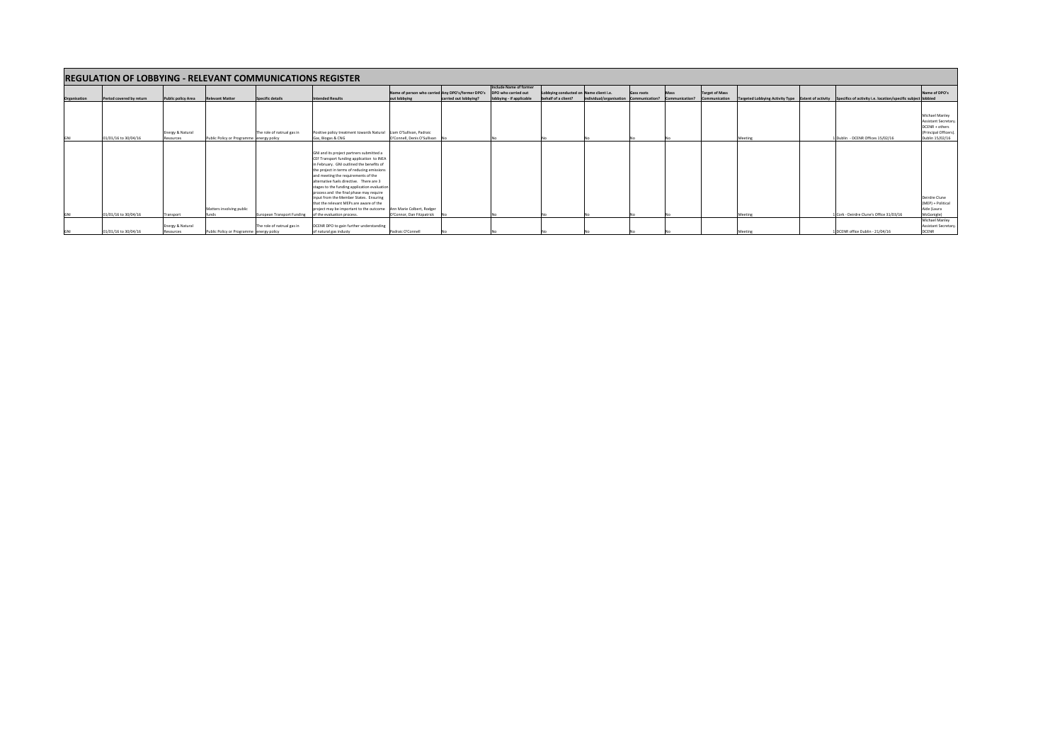| <b>REGULATION OF LOBBYING - RELEVANT COMMUNICATIONS REGISTER</b> |                          |                           |                                          |                            |                                                                    |                                                   |                       |                                               |                                        |                         |                   |                |                       |         |                                                                                                                 |                                       |
|------------------------------------------------------------------|--------------------------|---------------------------|------------------------------------------|----------------------------|--------------------------------------------------------------------|---------------------------------------------------|-----------------------|-----------------------------------------------|----------------------------------------|-------------------------|-------------------|----------------|-----------------------|---------|-----------------------------------------------------------------------------------------------------------------|---------------------------------------|
|                                                                  |                          |                           |                                          |                            |                                                                    | Name of person who carried Any DPO's/former DPO's |                       | Include Name of former<br>DPO who carried out | Lobbying conducted on Name client i.e. |                         | <b>Gass roots</b> | Mass           | <b>Target of Mass</b> |         |                                                                                                                 | Name of DPO's                         |
| Organisation                                                     | Period covered by return | <b>Public policy Area</b> | <b>Relevant Matter</b>                   | Specific details           | <b>Intended Results</b>                                            | out lobbying                                      | carried out lobbying? | lobbying - if applicable                      | behalf of a client?                    | individual/organisation | Communication?    | Communication? | Communication         |         | Targeted Lobbying Activity Type Extent of activity Specifics of activity i.e. location/specific subject lobbied |                                       |
|                                                                  |                          |                           |                                          |                            |                                                                    |                                                   |                       |                                               |                                        |                         |                   |                |                       |         |                                                                                                                 |                                       |
|                                                                  |                          |                           |                                          |                            |                                                                    |                                                   |                       |                                               |                                        |                         |                   |                |                       |         |                                                                                                                 |                                       |
|                                                                  |                          |                           |                                          |                            |                                                                    |                                                   |                       |                                               |                                        |                         |                   |                |                       |         |                                                                                                                 | Michael Manley                        |
|                                                                  |                          |                           |                                          |                            |                                                                    |                                                   |                       |                                               |                                        |                         |                   |                |                       |         |                                                                                                                 | <b>Assistant Secretary</b>            |
|                                                                  |                          |                           |                                          |                            |                                                                    |                                                   |                       |                                               |                                        |                         |                   |                |                       |         |                                                                                                                 | DCENR + others                        |
|                                                                  |                          | Energy & Natural          |                                          | The role of natrual gas in | Positive policy treatment towards Natural Liam O'Sullivan, Padraic |                                                   |                       |                                               |                                        |                         |                   |                |                       |         |                                                                                                                 | (Principal Officers).                 |
| <b>GNI</b>                                                       | 01/01/16 to 30/04/16     | Resources                 | Public Policy or Programme energy policy |                            | Gas, Biogas & CNG                                                  | O'Connell, Denis O'Sullivan                       |                       |                                               |                                        |                         |                   |                |                       | Meeting | 1 Dublin - DCENR Offices 15/02/16                                                                               | Dublin 15/02/16                       |
|                                                                  |                          |                           |                                          |                            |                                                                    |                                                   |                       |                                               |                                        |                         |                   |                |                       |         |                                                                                                                 |                                       |
|                                                                  |                          |                           |                                          |                            | GNI and its project partners submitted a                           |                                                   |                       |                                               |                                        |                         |                   |                |                       |         |                                                                                                                 |                                       |
|                                                                  |                          |                           |                                          |                            | CEF Transport funding application to INEA                          |                                                   |                       |                                               |                                        |                         |                   |                |                       |         |                                                                                                                 |                                       |
|                                                                  |                          |                           |                                          |                            | in February. GNI outlined the benefits of                          |                                                   |                       |                                               |                                        |                         |                   |                |                       |         |                                                                                                                 |                                       |
|                                                                  |                          |                           |                                          |                            | the project in terms of reducing emissions                         |                                                   |                       |                                               |                                        |                         |                   |                |                       |         |                                                                                                                 |                                       |
|                                                                  |                          |                           |                                          |                            | and meeting the requirements of the                                |                                                   |                       |                                               |                                        |                         |                   |                |                       |         |                                                                                                                 |                                       |
|                                                                  |                          |                           |                                          |                            | alternative fuels directive. There are 3                           |                                                   |                       |                                               |                                        |                         |                   |                |                       |         |                                                                                                                 |                                       |
|                                                                  |                          |                           |                                          |                            | stages to the funding application evaluation                       |                                                   |                       |                                               |                                        |                         |                   |                |                       |         |                                                                                                                 |                                       |
|                                                                  |                          |                           |                                          |                            | process and the final phase may require                            |                                                   |                       |                                               |                                        |                         |                   |                |                       |         |                                                                                                                 |                                       |
|                                                                  |                          |                           |                                          |                            | input from the Member States. Ensuring                             |                                                   |                       |                                               |                                        |                         |                   |                |                       |         |                                                                                                                 | Deirdre Clune                         |
|                                                                  |                          |                           |                                          |                            | that the relevant MEPs are aware of the                            |                                                   |                       |                                               |                                        |                         |                   |                |                       |         |                                                                                                                 | (MEP) + Political                     |
|                                                                  |                          |                           | Matters involving public                 |                            | project may be important to the outcome                            | Ann Marie Colbert, Rodger                         |                       |                                               |                                        |                         |                   |                |                       |         |                                                                                                                 | Aide (Laura                           |
| GNI                                                              | 01/01/16 to 30/04/16     | Transport                 | funds                                    | European Transport Funding | of the evaluation process.                                         | O'Connor, Dan Fitzpatrick                         |                       |                                               |                                        |                         |                   |                |                       | Meeting | 1 Cork - Deirdre Clune's Office 31/03/16                                                                        | McGonigle)                            |
|                                                                  |                          | Energy & Natural          |                                          | The role of natrual gas in | DCENR DPO to gain further understanding                            |                                                   |                       |                                               |                                        |                         |                   |                |                       |         |                                                                                                                 | Michael Manley<br>Assistant Secretary |
| GNI                                                              | 01/01/16 to 30/04/16     | Resources                 | Public Policy or Programme energy policy |                            | of natural gas industy                                             | Padraic O'Connell                                 |                       |                                               |                                        |                         |                   |                |                       |         | 1 DCENR office Dublin - 21/04/16                                                                                | <b>DCENR</b>                          |
|                                                                  |                          |                           |                                          |                            |                                                                    |                                                   |                       |                                               |                                        |                         |                   |                |                       |         |                                                                                                                 |                                       |